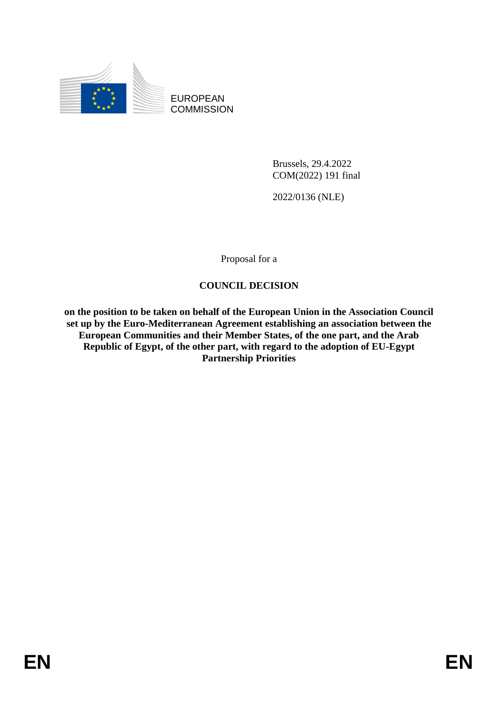

EUROPEAN **COMMISSION** 

> Brussels, 29.4.2022 COM(2022) 191 final

2022/0136 (NLE)

Proposal for a

### **COUNCIL DECISION**

**on the position to be taken on behalf of the European Union in the Association Council set up by the Euro-Mediterranean Agreement establishing an association between the European Communities and their Member States, of the one part, and the Arab Republic of Egypt, of the other part, with regard to the adoption of EU-Egypt Partnership Priorities**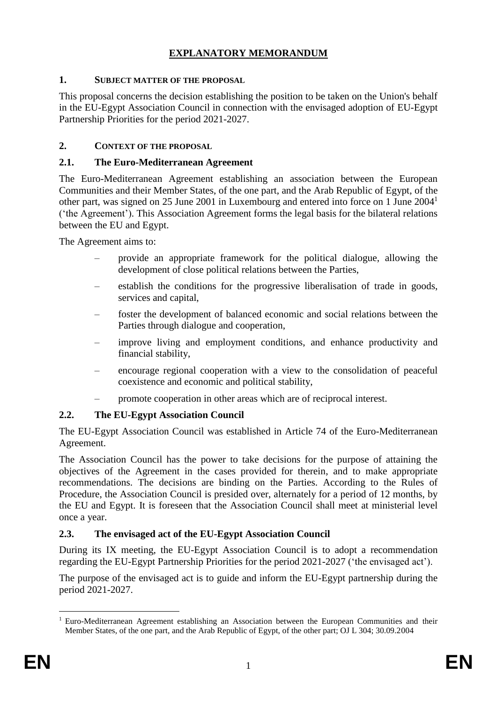# **EXPLANATORY MEMORANDUM**

### **1. SUBJECT MATTER OF THE PROPOSAL**

This proposal concerns the decision establishing the position to be taken on the Union's behalf in the EU-Egypt Association Council in connection with the envisaged adoption of EU-Egypt Partnership Priorities for the period 2021-2027.

### **2. CONTEXT OF THE PROPOSAL**

#### **2.1. The Euro-Mediterranean Agreement**

The Euro-Mediterranean Agreement establishing an association between the European Communities and their Member States, of the one part, and the Arab Republic of Egypt, of the other part, was signed on 25 June 2001 in Luxembourg and entered into force on 1 June 2004<sup>1</sup> ('the Agreement'). This Association Agreement forms the legal basis for the bilateral relations between the EU and Egypt.

The Agreement aims to:

- provide an appropriate framework for the political dialogue, allowing the development of close political relations between the Parties,
- establish the conditions for the progressive liberalisation of trade in goods, services and capital,
- foster the development of balanced economic and social relations between the Parties through dialogue and cooperation,
- improve living and employment conditions, and enhance productivity and financial stability,
- encourage regional cooperation with a view to the consolidation of peaceful coexistence and economic and political stability,
- promote cooperation in other areas which are of reciprocal interest.

# **2.2. The EU-Egypt Association Council**

The EU-Egypt Association Council was established in Article 74 of the Euro-Mediterranean Agreement.

The Association Council has the power to take decisions for the purpose of attaining the objectives of the Agreement in the cases provided for therein, and to make appropriate recommendations. The decisions are binding on the Parties. According to the Rules of Procedure, the Association Council is presided over, alternately for a period of 12 months, by the EU and Egypt. It is foreseen that the Association Council shall meet at ministerial level once a year.

### **2.3. The envisaged act of the EU-Egypt Association Council**

During its IX meeting, the EU-Egypt Association Council is to adopt a recommendation regarding the EU-Egypt Partnership Priorities for the period 2021-2027 ('the envisaged act').

The purpose of the envisaged act is to guide and inform the EU-Egypt partnership during the period 2021-2027.

1

<sup>&</sup>lt;sup>1</sup> Euro-Mediterranean Agreement establishing an Association between the European Communities and their Member States, of the one part, and the Arab Republic of Egypt, of the other part; OJ L 304; 30.09.2004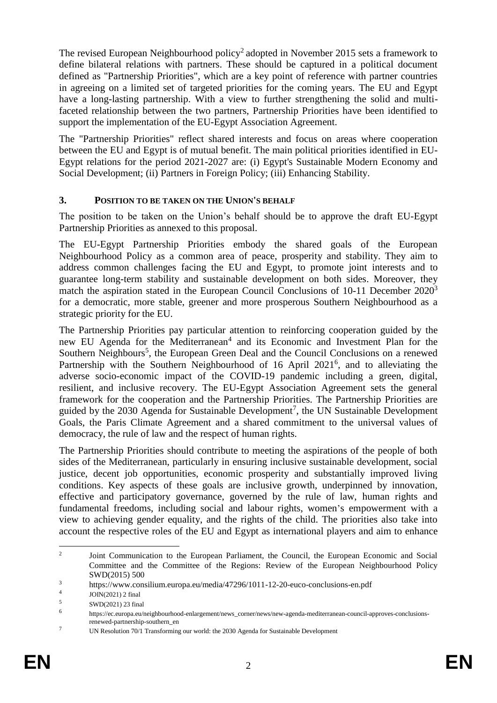The revised European Neighbourhood policy<sup>2</sup> adopted in November 2015 sets a framework to define bilateral relations with partners. These should be captured in a political document defined as "Partnership Priorities", which are a key point of reference with partner countries in agreeing on a limited set of targeted priorities for the coming years. The EU and Egypt have a long-lasting partnership. With a view to further strengthening the solid and multifaceted relationship between the two partners, Partnership Priorities have been identified to support the implementation of the EU-Egypt Association Agreement.

The "Partnership Priorities" reflect shared interests and focus on areas where cooperation between the EU and Egypt is of mutual benefit. The main political priorities identified in EU-Egypt relations for the period 2021-2027 are: (i) Egypt's Sustainable Modern Economy and Social Development; (ii) Partners in Foreign Policy; (iii) Enhancing Stability.

#### **3. POSITION TO BE TAKEN ON THE UNION'S BEHALF**

The position to be taken on the Union's behalf should be to approve the draft EU-Egypt Partnership Priorities as annexed to this proposal.

The EU-Egypt Partnership Priorities embody the shared goals of the European Neighbourhood Policy as a common area of peace, prosperity and stability. They aim to address common challenges facing the EU and Egypt, to promote joint interests and to guarantee long-term stability and sustainable development on both sides. Moreover, they match the aspiration stated in the European Council Conclusions of 10-11 December 2020<sup>3</sup> for a democratic, more stable, greener and more prosperous Southern Neighbourhood as a strategic priority for the EU.

The Partnership Priorities pay particular attention to reinforcing cooperation guided by the new EU Agenda for the Mediterranean<sup>4</sup> and its Economic and Investment Plan for the Southern Neighbours<sup>5</sup>, the European Green Deal and the Council Conclusions on a renewed Partnership with the Southern Neighbourhood of 16 April 2021<sup>6</sup>, and to alleviating the adverse socio-economic impact of the COVID-19 pandemic including a green, digital, resilient, and inclusive recovery. The EU-Egypt Association Agreement sets the general framework for the cooperation and the Partnership Priorities. The Partnership Priorities are guided by the  $2030$  Agenda for Sustainable Development<sup>7</sup>, the UN Sustainable Development Goals, the Paris Climate Agreement and a shared commitment to the universal values of democracy, the rule of law and the respect of human rights.

The Partnership Priorities should contribute to meeting the aspirations of the people of both sides of the Mediterranean, particularly in ensuring inclusive sustainable development, social justice, decent job opportunities, economic prosperity and substantially improved living conditions. Key aspects of these goals are inclusive growth, underpinned by innovation, effective and participatory governance, governed by the rule of law, human rights and fundamental freedoms, including social and labour rights, women's empowerment with a view to achieving gender equality, and the rights of the child. The priorities also take into account the respective roles of the EU and Egypt as international players and aim to enhance

 $\frac{1}{2}$ Joint Communication to the European Parliament, the Council, the European Economic and Social Committee and the Committee of the Regions: Review of the European Neighbourhood Policy SWD(2015) 500

<sup>3</sup> https://www.consilium.europa.eu/media/47296/1011-12-20-euco-conclusions-en.pdf

<sup>4</sup> JOIN(2021) 2 final

<sup>5</sup> SWD(2021) 23 final

<sup>6</sup> https://ec.europa.eu/neighbourhood-enlargement/news\_corner/news/new-agenda-mediterranean-council-approves-conclusionsrenewed-partnership-southern\_en

<sup>&</sup>lt;sup>7</sup> [UN Resolution 70/1 Transforming our world: the 2030 Agenda for Sustainable Development](https://www.un.org/ga/search/view_doc.asp?symbol=A/RES/70/1&Lang=E)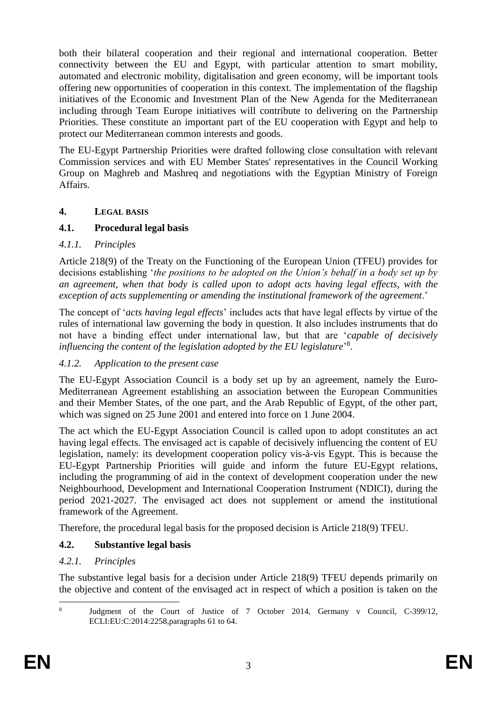both their bilateral cooperation and their regional and international cooperation. Better connectivity between the EU and Egypt, with particular attention to smart mobility, automated and electronic mobility, digitalisation and green economy, will be important tools offering new opportunities of cooperation in this context. The implementation of the flagship initiatives of the Economic and Investment Plan of the New Agenda for the Mediterranean including through Team Europe initiatives will contribute to delivering on the Partnership Priorities. These constitute an important part of the EU cooperation with Egypt and help to protect our Mediterranean common interests and goods.

The EU-Egypt Partnership Priorities were drafted following close consultation with relevant Commission services and with EU Member States' representatives in the Council Working Group on Maghreb and Mashreq and negotiations with the Egyptian Ministry of Foreign Affairs.

#### **4. LEGAL BASIS**

#### **4.1. Procedural legal basis**

#### *4.1.1. Principles*

Article 218(9) of the Treaty on the Functioning of the European Union (TFEU) provides for decisions establishing '*the positions to be adopted on the Union's behalf in a body set up by an agreement, when that body is called upon to adopt acts having legal effects, with the exception of acts supplementing or amending the institutional framework of the agreement*.'

The concept of '*acts having legal effects*' includes acts that have legal effects by virtue of the rules of international law governing the body in question. It also includes instruments that do not have a binding effect under international law, but that are '*capable of decisively influencing the content of the legislation adopted by the EU legislature*' 8 .

### *4.1.2. Application to the present case*

The EU-Egypt Association Council is a body set up by an agreement, namely the Euro-Mediterranean Agreement establishing an association between the European Communities and their Member States, of the one part, and the Arab Republic of Egypt, of the other part, which was signed on 25 June 2001 and entered into force on 1 June 2004.

The act which the EU-Egypt Association Council is called upon to adopt constitutes an act having legal effects. The envisaged act is capable of decisively influencing the content of EU legislation, namely: its development cooperation policy vis-à-vis Egypt. This is because the EU-Egypt Partnership Priorities will guide and inform the future EU-Egypt relations, including the programming of aid in the context of development cooperation under the new Neighbourhood, Development and International Cooperation Instrument (NDICI), during the period 2021-2027. The envisaged act does not supplement or amend the institutional framework of the Agreement.

Therefore, the procedural legal basis for the proposed decision is Article 218(9) TFEU.

### **4.2. Substantive legal basis**

### *4.2.1. Principles*

The substantive legal basis for a decision under Article 218(9) TFEU depends primarily on the objective and content of the envisaged act in respect of which a position is taken on the

<sup>1</sup> 8 Judgment of the Court of Justice of 7 October 2014, Germany v Council, C-399/12, ECLI:EU:C:2014:2258,paragraphs 61 to 64.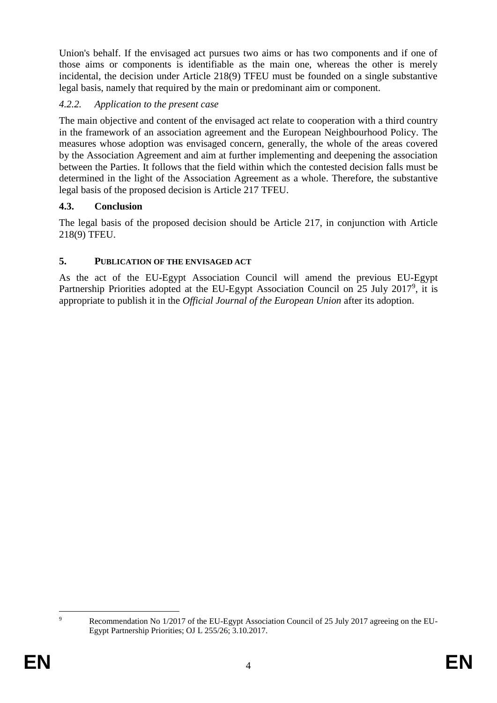Union's behalf. If the envisaged act pursues two aims or has two components and if one of those aims or components is identifiable as the main one, whereas the other is merely incidental, the decision under Article 218(9) TFEU must be founded on a single substantive legal basis, namely that required by the main or predominant aim or component.

# *4.2.2. Application to the present case*

The main objective and content of the envisaged act relate to cooperation with a third country in the framework of an association agreement and the European Neighbourhood Policy. The measures whose adoption was envisaged concern, generally, the whole of the areas covered by the Association Agreement and aim at further implementing and deepening the association between the Parties. It follows that the field within which the contested decision falls must be determined in the light of the Association Agreement as a whole. Therefore, the substantive legal basis of the proposed decision is Article 217 TFEU.

### **4.3. Conclusion**

The legal basis of the proposed decision should be Article 217, in conjunction with Article 218(9) TFEU.

### **5. PUBLICATION OF THE ENVISAGED ACT**

As the act of the EU-Egypt Association Council will amend the previous EU-Egypt Partnership Priorities adopted at the EU-Egypt Association Council on 25 July 2017<sup>9</sup>, it is appropriate to publish it in the *Official Journal of the European Union* after its adoption.

 $\overline{Q}$ Recommendation No 1/2017 of the EU-Egypt Association Council of 25 July 2017 agreeing on the EU-Egypt Partnership Priorities; OJ L 255/26; 3.10.2017.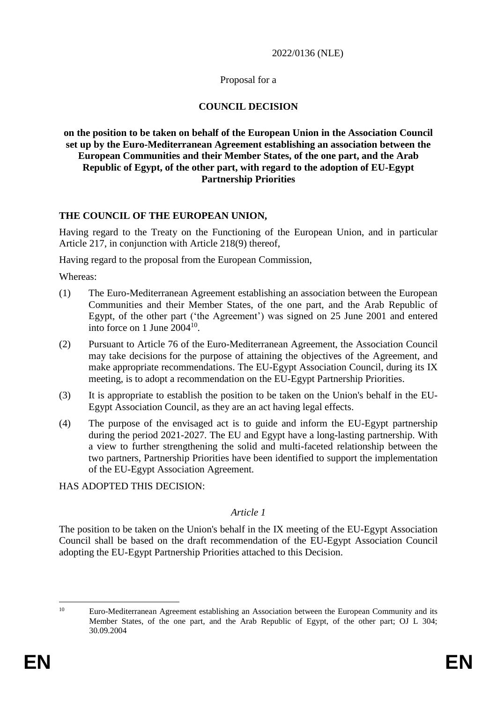#### 2022/0136 (NLE)

#### Proposal for a

#### **COUNCIL DECISION**

#### **on the position to be taken on behalf of the European Union in the Association Council set up by the Euro-Mediterranean Agreement establishing an association between the European Communities and their Member States, of the one part, and the Arab Republic of Egypt, of the other part, with regard to the adoption of EU-Egypt Partnership Priorities**

#### **THE COUNCIL OF THE EUROPEAN UNION,**

Having regard to the Treaty on the Functioning of the European Union, and in particular Article 217, in conjunction with Article 218(9) thereof,

Having regard to the proposal from the European Commission,

Whereas:

- (1) The Euro-Mediterranean Agreement establishing an association between the European Communities and their Member States, of the one part, and the Arab Republic of Egypt, of the other part ('the Agreement') was signed on 25 June 2001 and entered into force on 1 June  $2004^{10}$ .
- (2) Pursuant to Article 76 of the Euro-Mediterranean Agreement, the Association Council may take decisions for the purpose of attaining the objectives of the Agreement, and make appropriate recommendations. The EU-Egypt Association Council, during its IX meeting, is to adopt a recommendation on the EU-Egypt Partnership Priorities.
- (3) It is appropriate to establish the position to be taken on the Union's behalf in the EU-Egypt Association Council, as they are an act having legal effects.
- (4) The purpose of the envisaged act is to guide and inform the EU-Egypt partnership during the period 2021-2027. The EU and Egypt have a long-lasting partnership. With a view to further strengthening the solid and multi-faceted relationship between the two partners, Partnership Priorities have been identified to support the implementation of the EU-Egypt Association Agreement.

HAS ADOPTED THIS DECISION:

#### *Article 1*

The position to be taken on the Union's behalf in the IX meeting of the EU-Egypt Association Council shall be based on the draft recommendation of the EU-Egypt Association Council adopting the EU-Egypt Partnership Priorities attached to this Decision.

<sup>1</sup> 

<sup>&</sup>lt;sup>10</sup> Euro-Mediterranean Agreement establishing an Association between the European Community and its Member States, of the one part, and the Arab Republic of Egypt, of the other part; OJ L 304; 30.09.2004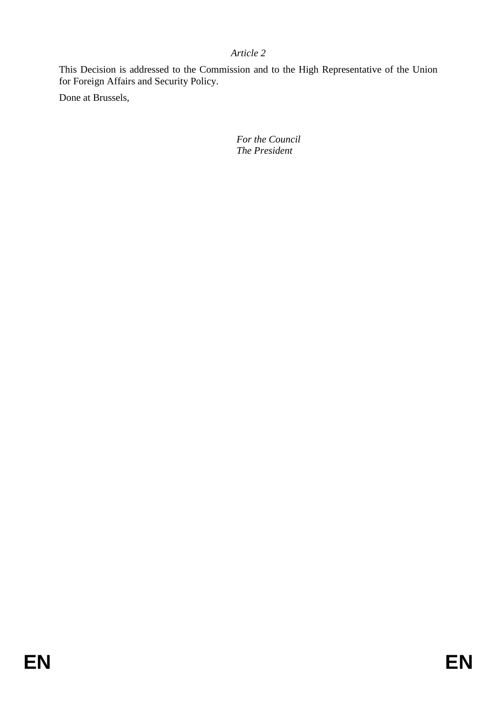# *Article 2*

This Decision is addressed to the Commission and to the High Representative of the Union for Foreign Affairs and Security Policy.

Done at Brussels,

*For the Council The President*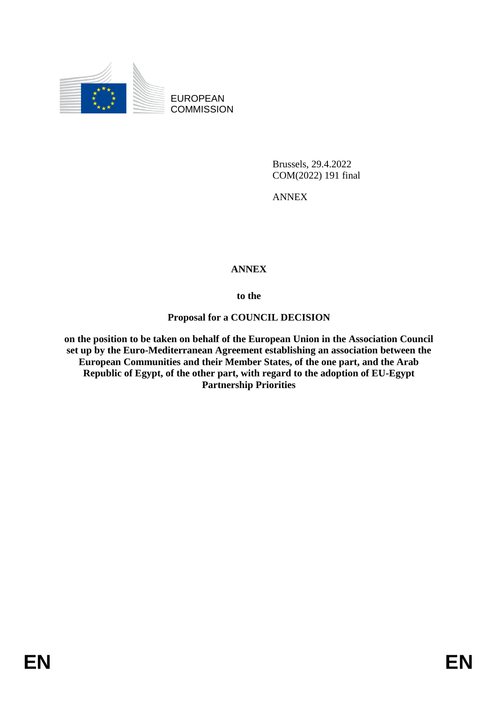

EUROPEAN **COMMISSION** 

> Brussels, 29.4.2022 COM(2022) 191 final

ANNEX

# **ANNEX**

**to the**

### **Proposal for a COUNCIL DECISION**

**on the position to be taken on behalf of the European Union in the Association Council set up by the Euro-Mediterranean Agreement establishing an association between the European Communities and their Member States, of the one part, and the Arab Republic of Egypt, of the other part, with regard to the adoption of EU-Egypt Partnership Priorities**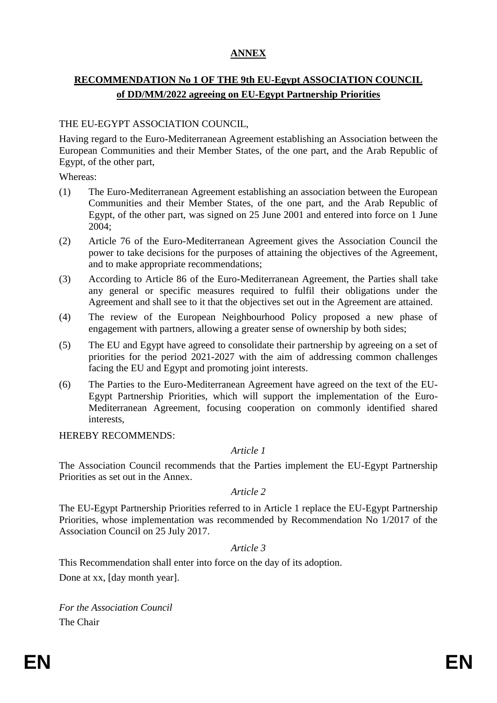# **ANNEX**

# **RECOMMENDATION No 1 OF THE 9th EU-Egypt ASSOCIATION COUNCIL of DD/MM/2022 agreeing on EU-Egypt Partnership Priorities**

#### THE EU-EGYPT ASSOCIATION COUNCIL,

Having regard to the Euro-Mediterranean Agreement establishing an Association between the European Communities and their Member States, of the one part, and the Arab Republic of Egypt, of the other part,

Whereas:

- (1) The Euro-Mediterranean Agreement establishing an association between the European Communities and their Member States, of the one part, and the Arab Republic of Egypt, of the other part, was signed on 25 June 2001 and entered into force on 1 June 2004;
- (2) Article 76 of the Euro-Mediterranean Agreement gives the Association Council the power to take decisions for the purposes of attaining the objectives of the Agreement, and to make appropriate recommendations;
- (3) According to Article 86 of the Euro-Mediterranean Agreement, the Parties shall take any general or specific measures required to fulfil their obligations under the Agreement and shall see to it that the objectives set out in the Agreement are attained.
- (4) The review of the European Neighbourhood Policy proposed a new phase of engagement with partners, allowing a greater sense of ownership by both sides;
- (5) The EU and Egypt have agreed to consolidate their partnership by agreeing on a set of priorities for the period 2021-2027 with the aim of addressing common challenges facing the EU and Egypt and promoting joint interests.
- (6) The Parties to the Euro-Mediterranean Agreement have agreed on the text of the EU-Egypt Partnership Priorities, which will support the implementation of the Euro-Mediterranean Agreement, focusing cooperation on commonly identified shared interests,

HEREBY RECOMMENDS:

#### *Article 1*

The Association Council recommends that the Parties implement the EU-Egypt Partnership Priorities as set out in the Annex.

#### *Article 2*

The EU-Egypt Partnership Priorities referred to in Article 1 replace the EU-Egypt Partnership Priorities, whose implementation was recommended by Recommendation No 1/2017 of the Association Council on 25 July 2017.

#### *Article 3*

This Recommendation shall enter into force on the day of its adoption.

Done at xx, [day month year].

*For the Association Council* The Chair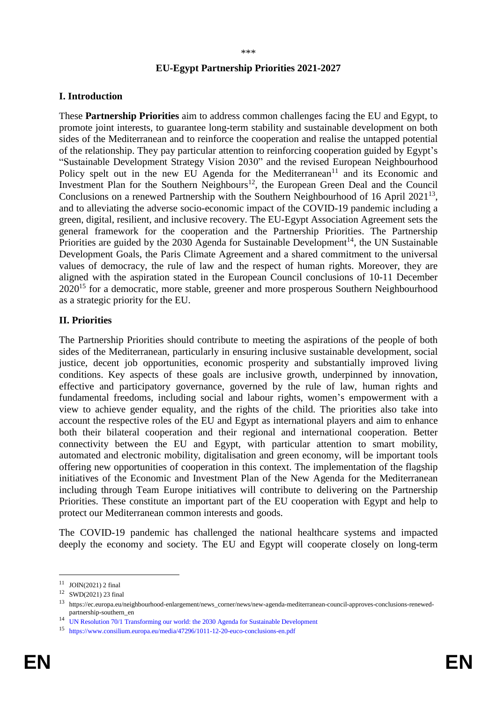#### **EU-Egypt Partnership Priorities 2021-2027**

#### **I. Introduction**

These **Partnership Priorities** aim to address common challenges facing the EU and Egypt, to promote joint interests, to guarantee long-term stability and sustainable development on both sides of the Mediterranean and to reinforce the cooperation and realise the untapped potential of the relationship. They pay particular attention to reinforcing cooperation guided by Egypt's "Sustainable Development Strategy Vision 2030" and the revised European Neighbourhood Policy spelt out in the new EU Agenda for the Mediterranean<sup>11</sup> and its Economic and Investment Plan for the Southern Neighbours<sup>12</sup>, the European Green Deal and the Council Conclusions on a renewed Partnership with the Southern Neighbourhood of 16 April 2021<sup>13</sup>, and to alleviating the adverse socio-economic impact of the COVID-19 pandemic including a green, digital, resilient, and inclusive recovery. The EU-Egypt Association Agreement sets the general framework for the cooperation and the Partnership Priorities. The Partnership Priorities are guided by the 2030 Agenda for Sustainable Development<sup>14</sup>, the UN Sustainable Development Goals, the Paris Climate Agreement and a shared commitment to the universal values of democracy, the rule of law and the respect of human rights. Moreover, they are aligned with the aspiration stated in the European Council conclusions of 10-11 December  $2020^{15}$  for a democratic, more stable, greener and more prosperous Southern Neighbourhood as a strategic priority for the EU.

#### **II. Priorities**

The Partnership Priorities should contribute to meeting the aspirations of the people of both sides of the Mediterranean, particularly in ensuring inclusive sustainable development, social justice, decent job opportunities, economic prosperity and substantially improved living conditions. Key aspects of these goals are inclusive growth, underpinned by innovation, effective and participatory governance, governed by the rule of law, human rights and fundamental freedoms, including social and labour rights, women's empowerment with a view to achieve gender equality, and the rights of the child. The priorities also take into account the respective roles of the EU and Egypt as international players and aim to enhance both their bilateral cooperation and their regional and international cooperation. Better connectivity between the EU and Egypt, with particular attention to smart mobility, automated and electronic mobility, digitalisation and green economy, will be important tools offering new opportunities of cooperation in this context. The implementation of the flagship initiatives of the Economic and Investment Plan of the New Agenda for the Mediterranean including through Team Europe initiatives will contribute to delivering on the Partnership Priorities. These constitute an important part of the EU cooperation with Egypt and help to protect our Mediterranean common interests and goods.

The COVID-19 pandemic has challenged the national healthcare systems and impacted deeply the economy and society. The EU and Egypt will cooperate closely on long-term

1

 $11$  JOIN(2021) 2 final

<sup>12</sup> SWD(2021) 23 final

<sup>13</sup> https://ec.europa.eu/neighbourhood-enlargement/news\_corner/news/new-agenda-mediterranean-council-approves-conclusions-renewedpartnership-southern\_en

<sup>14</sup> [UN Resolution 70/1 Transforming our world: the 2030 Agenda for Sustainable Development](https://www.un.org/ga/search/view_doc.asp?symbol=A/RES/70/1&Lang=E)

<sup>15</sup> <https://www.consilium.europa.eu/media/47296/1011-12-20-euco-conclusions-en.pdf>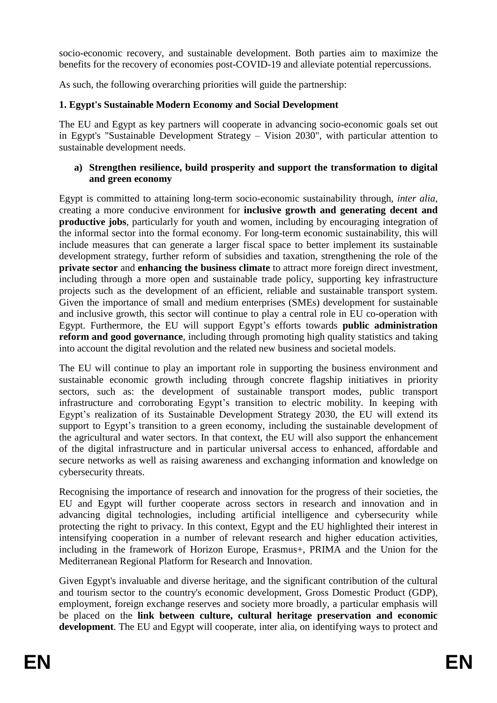socio-economic recovery, and sustainable development. Both parties aim to maximize the benefits for the recovery of economies post-COVID-19 and alleviate potential repercussions.

As such, the following overarching priorities will guide the partnership:

# **1. Egypt's Sustainable Modern Economy and Social Development**

The EU and Egypt as key partners will cooperate in advancing socio-economic goals set out in Egypt's "Sustainable Development Strategy – Vision 2030", with particular attention to sustainable development needs.

#### **a) Strengthen resilience, build prosperity and support the transformation to digital and green economy**

Egypt is committed to attaining long-term socio-economic sustainability through, *inter alia*, creating a more conducive environment for **inclusive growth and generating decent and productive jobs**, particularly for youth and women, including by encouraging integration of the informal sector into the formal economy. For long-term economic sustainability, this will include measures that can generate a larger fiscal space to better implement its sustainable development strategy, further reform of subsidies and taxation, strengthening the role of the **private sector** and **enhancing the business climate** to attract more foreign direct investment, including through a more open and sustainable trade policy, supporting key infrastructure projects such as the development of an efficient, reliable and sustainable transport system. Given the importance of small and medium enterprises (SMEs) development for sustainable and inclusive growth, this sector will continue to play a central role in EU co-operation with Egypt. Furthermore, the EU will support Egypt's efforts towards **public administration reform and good governance**, including through promoting high quality statistics and taking into account the digital revolution and the related new business and societal models.

The EU will continue to play an important role in supporting the business environment and sustainable economic growth including through concrete flagship initiatives in priority sectors, such as: the development of sustainable transport modes, public transport infrastructure and corroborating Egypt's transition to electric mobility. In keeping with Egypt's realization of its Sustainable Development Strategy 2030, the EU will extend its support to Egypt's transition to a green economy, including the sustainable development of the agricultural and water sectors. In that context, the EU will also support the enhancement of the digital infrastructure and in particular universal access to enhanced, affordable and secure networks as well as raising awareness and exchanging information and knowledge on cybersecurity threats.

Recognising the importance of research and innovation for the progress of their societies, the EU and Egypt will further cooperate across sectors in research and innovation and in advancing digital technologies, including artificial intelligence and cybersecurity while protecting the right to privacy. In this context, Egypt and the EU highlighted their interest in intensifying cooperation in a number of relevant research and higher education activities, including in the framework of Horizon Europe, Erasmus+, PRIMA and the Union for the Mediterranean Regional Platform for Research and Innovation.

Given Egypt's invaluable and diverse heritage, and the significant contribution of the cultural and tourism sector to the country's economic development, Gross Domestic Product (GDP), employment, foreign exchange reserves and society more broadly, a particular emphasis will be placed on the **link between culture, cultural heritage preservation and economic development**. The EU and Egypt will cooperate, inter alia, on identifying ways to protect and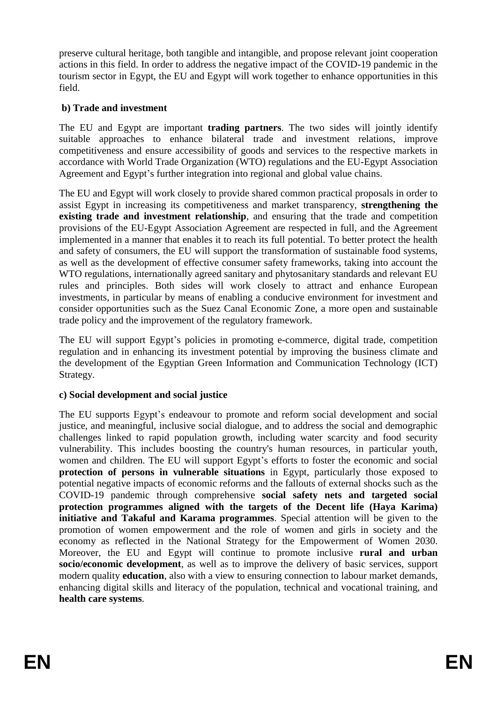preserve cultural heritage, both tangible and intangible, and propose relevant joint cooperation actions in this field. In order to address the negative impact of the COVID-19 pandemic in the tourism sector in Egypt, the EU and Egypt will work together to enhance opportunities in this field.

## **b) Trade and investment**

The EU and Egypt are important **trading partners**. The two sides will jointly identify suitable approaches to enhance bilateral trade and investment relations, improve competitiveness and ensure accessibility of goods and services to the respective markets in accordance with World Trade Organization (WTO) regulations and the EU-Egypt Association Agreement and Egypt's further integration into regional and global value chains.

The EU and Egypt will work closely to provide shared common practical proposals in order to assist Egypt in increasing its competitiveness and market transparency, **strengthening the existing trade and investment relationship**, and ensuring that the trade and competition provisions of the EU-Egypt Association Agreement are respected in full, and the Agreement implemented in a manner that enables it to reach its full potential. To better protect the health and safety of consumers, the EU will support the transformation of sustainable food systems, as well as the development of effective consumer safety frameworks, taking into account the WTO regulations, internationally agreed sanitary and phytosanitary standards and relevant EU rules and principles. Both sides will work closely to attract and enhance European investments, in particular by means of enabling a conducive environment for investment and consider opportunities such as the Suez Canal Economic Zone, a more open and sustainable trade policy and the improvement of the regulatory framework.

The EU will support Egypt's policies in promoting e-commerce, digital trade, competition regulation and in enhancing its investment potential by improving the business climate and the development of the Egyptian Green Information and Communication Technology (ICT) Strategy.

### **c) Social development and social justice**

The EU supports Egypt's endeavour to promote and reform social development and social justice, and meaningful, inclusive social dialogue, and to address the social and demographic challenges linked to rapid population growth, including water scarcity and food security vulnerability. This includes boosting the country's human resources, in particular youth, women and children. The EU will support Egypt's efforts to foster the economic and social **protection of persons in vulnerable situations** in Egypt, particularly those exposed to potential negative impacts of economic reforms and the fallouts of external shocks such as the COVID-19 pandemic through comprehensive **social safety nets and targeted social protection programmes aligned with the targets of the Decent life (Haya Karima) initiative and Takaful and Karama programmes**. Special attention will be given to the promotion of women empowerment and the role of women and girls in society and the economy as reflected in the National Strategy for the Empowerment of Women 2030. Moreover, the EU and Egypt will continue to promote inclusive **rural and urban socio/economic development**, as well as to improve the delivery of basic services, support modern quality **education**, also with a view to ensuring connection to labour market demands, enhancing digital skills and literacy of the population, technical and vocational training, and **health care systems**.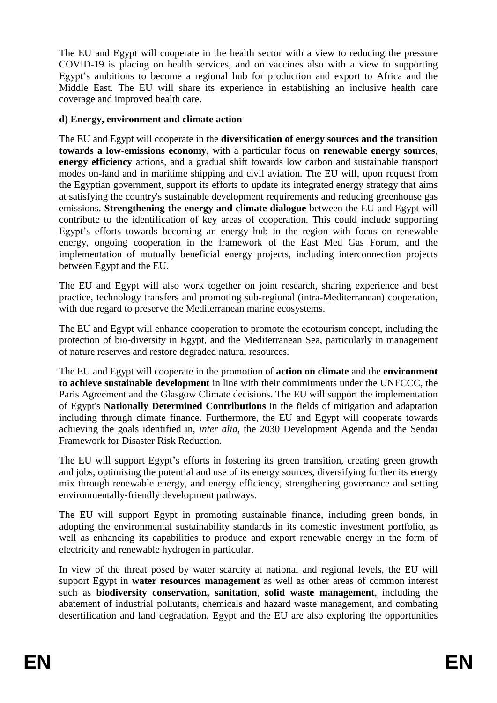The EU and Egypt will cooperate in the health sector with a view to reducing the pressure COVID-19 is placing on health services, and on vaccines also with a view to supporting Egypt's ambitions to become a regional hub for production and export to Africa and the Middle East. The EU will share its experience in establishing an inclusive health care coverage and improved health care.

#### **d) Energy, environment and climate action**

The EU and Egypt will cooperate in the **diversification of energy sources and the transition towards a low-emissions economy**, with a particular focus on **renewable energy sources**, **energy efficiency** actions, and a gradual shift towards low carbon and sustainable transport modes on-land and in maritime shipping and civil aviation. The EU will, upon request from the Egyptian government, support its efforts to update its integrated energy strategy that aims at satisfying the country's sustainable development requirements and reducing greenhouse gas emissions. **Strengthening the energy and climate dialogue** between the EU and Egypt will contribute to the identification of key areas of cooperation. This could include supporting Egypt's efforts towards becoming an energy hub in the region with focus on renewable energy, ongoing cooperation in the framework of the East Med Gas Forum, and the implementation of mutually beneficial energy projects, including interconnection projects between Egypt and the EU.

The EU and Egypt will also work together on joint research, sharing experience and best practice, technology transfers and promoting sub-regional (intra-Mediterranean) cooperation, with due regard to preserve the Mediterranean marine ecosystems.

The EU and Egypt will enhance cooperation to promote the ecotourism concept, including the protection of bio-diversity in Egypt, and the Mediterranean Sea, particularly in management of nature reserves and restore degraded natural resources.

The EU and Egypt will cooperate in the promotion of **action on climate** and the **environment to achieve sustainable development** in line with their commitments under the UNFCCC, the Paris Agreement and the Glasgow Climate decisions. The EU will support the implementation of Egypt's **Nationally Determined Contributions** in the fields of mitigation and adaptation including through climate finance. Furthermore, the EU and Egypt will cooperate towards achieving the goals identified in, *inter alia*, the 2030 Development Agenda and the Sendai Framework for Disaster Risk Reduction.

The EU will support Egypt's efforts in fostering its green transition, creating green growth and jobs, optimising the potential and use of its energy sources, diversifying further its energy mix through renewable energy, and energy efficiency, strengthening governance and setting environmentally-friendly development pathways.

The EU will support Egypt in promoting sustainable finance, including green bonds, in adopting the environmental sustainability standards in its domestic investment portfolio, as well as enhancing its capabilities to produce and export renewable energy in the form of electricity and renewable hydrogen in particular.

In view of the threat posed by water scarcity at national and regional levels, the EU will support Egypt in **water resources management** as well as other areas of common interest such as **biodiversity conservation, sanitation**, **solid waste management**, including the abatement of industrial pollutants, chemicals and hazard waste management, and combating desertification and land degradation. Egypt and the EU are also exploring the opportunities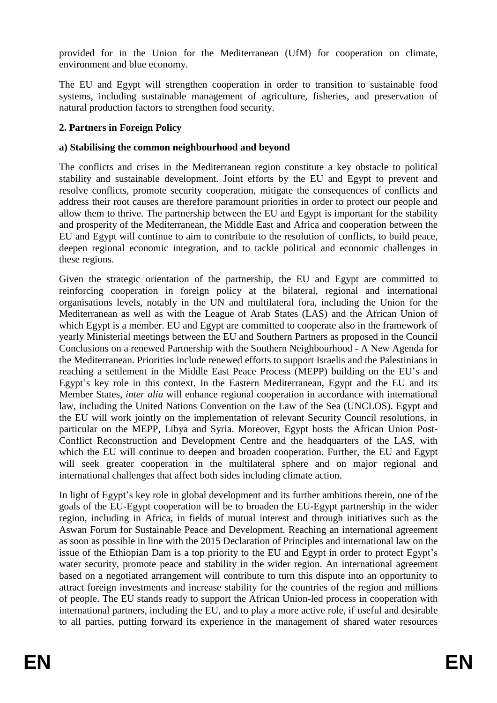provided for in the Union for the Mediterranean (UfM) for cooperation on climate, environment and blue economy.

The EU and Egypt will strengthen cooperation in order to transition to sustainable food systems, including sustainable management of agriculture, fisheries, and preservation of natural production factors to strengthen food security.

### **2. Partners in Foreign Policy**

#### **a) Stabilising the common neighbourhood and beyond**

The conflicts and crises in the Mediterranean region constitute a key obstacle to political stability and sustainable development. Joint efforts by the EU and Egypt to prevent and resolve conflicts, promote security cooperation, mitigate the consequences of conflicts and address their root causes are therefore paramount priorities in order to protect our people and allow them to thrive. The partnership between the EU and Egypt is important for the stability and prosperity of the Mediterranean, the Middle East and Africa and cooperation between the EU and Egypt will continue to aim to contribute to the resolution of conflicts, to build peace, deepen regional economic integration, and to tackle political and economic challenges in these regions.

Given the strategic orientation of the partnership, the EU and Egypt are committed to reinforcing cooperation in foreign policy at the bilateral, regional and international organisations levels, notably in the UN and multilateral fora, including the Union for the Mediterranean as well as with the League of Arab States (LAS) and the African Union of which Egypt is a member. EU and Egypt are committed to cooperate also in the framework of yearly Ministerial meetings between the EU and Southern Partners as proposed in the Council Conclusions on a renewed Partnership with the Southern Neighbourhood - A Νew Agenda for the Mediterranean. Priorities include renewed efforts to support Israelis and the Palestinians in reaching a settlement in the Middle East Peace Process (MEPP) building on the EU's and Egypt's key role in this context. In the Eastern Mediterranean, Egypt and the EU and its Member States, *inter alia* will enhance regional cooperation in accordance with international law, including the United Nations Convention on the Law of the Sea (UNCLOS). Egypt and the EU will work jointly on the implementation of relevant Security Council resolutions, in particular on the MEPP, Libya and Syria. Moreover, Egypt hosts the African Union Post-Conflict Reconstruction and Development Centre and the headquarters of the LAS, with which the EU will continue to deepen and broaden cooperation. Further, the EU and Egypt will seek greater cooperation in the multilateral sphere and on major regional and international challenges that affect both sides including climate action.

In light of Egypt's key role in global development and its further ambitions therein, one of the goals of the EU-Egypt cooperation will be to broaden the EU-Egypt partnership in the wider region, including in Africa, in fields of mutual interest and through initiatives such as the Aswan Forum for Sustainable Peace and Development. Reaching an international agreement as soon as possible in line with the 2015 Declaration of Principles and international law on the issue of the Ethiopian Dam is a top priority to the EU and Egypt in order to protect Egypt's water security, promote peace and stability in the wider region. An international agreement based on a negotiated arrangement will contribute to turn this dispute into an opportunity to attract foreign investments and increase stability for the countries of the region and millions of people. The EU stands ready to support the African Union-led process in cooperation with international partners, including the EU, and to play a more active role, if useful and desirable to all parties, putting forward its experience in the management of shared water resources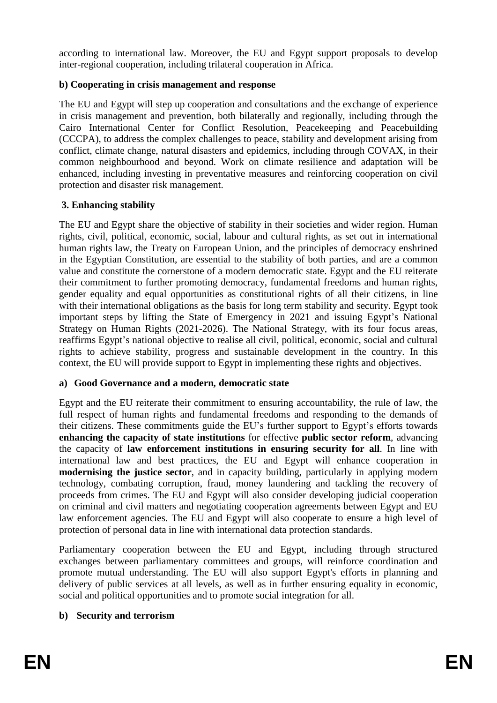according to international law. Moreover, the EU and Egypt support proposals to develop inter-regional cooperation, including trilateral cooperation in Africa.

### **b) Cooperating in crisis management and response**

The EU and Egypt will step up cooperation and consultations and the exchange of experience in crisis management and prevention, both bilaterally and regionally, including through the Cairo International Center for Conflict Resolution, Peacekeeping and Peacebuilding (CCCPA), to address the complex challenges to peace, stability and development arising from conflict, climate change, natural disasters and epidemics, including through COVAX, in their common neighbourhood and beyond. Work on climate resilience and adaptation will be enhanced, including investing in preventative measures and reinforcing cooperation on civil protection and disaster risk management.

## **3. Enhancing stability**

The EU and Egypt share the objective of stability in their societies and wider region. Human rights, civil, political, economic, social, labour and cultural rights, as set out in international human rights law, the Treaty on European Union, and the principles of democracy enshrined in the Egyptian Constitution, are essential to the stability of both parties, and are a common value and constitute the cornerstone of a modern democratic state. Egypt and the EU reiterate their commitment to further promoting democracy, fundamental freedoms and human rights, gender equality and equal opportunities as constitutional rights of all their citizens, in line with their international obligations as the basis for long term stability and security. Egypt took important steps by lifting the State of Emergency in 2021 and issuing Egypt's National Strategy on Human Rights (2021-2026). The National Strategy, with its four focus areas, reaffirms Egypt's national objective to realise all civil, political, economic, social and cultural rights to achieve stability, progress and sustainable development in the country. In this context, the EU will provide support to Egypt in implementing these rights and objectives.

### **a) Good Governance and a modern***,* **democratic state**

Egypt and the EU reiterate their commitment to ensuring accountability, the rule of law, the full respect of human rights and fundamental freedoms and responding to the demands of their citizens. These commitments guide the EU's further support to Egypt's efforts towards **enhancing the capacity of state institutions** for effective **public sector reform**, advancing the capacity of **law enforcement institutions in ensuring security for all**. In line with international law and best practices, the EU and Egypt will enhance cooperation in **modernising the justice sector**, and in capacity building, particularly in applying modern technology, combating corruption, fraud, money laundering and tackling the recovery of proceeds from crimes. The EU and Egypt will also consider developing judicial cooperation on criminal and civil matters and negotiating cooperation agreements between Egypt and EU law enforcement agencies. The EU and Egypt will also cooperate to ensure a high level of protection of personal data in line with international data protection standards.

Parliamentary cooperation between the EU and Egypt, including through structured exchanges between parliamentary committees and groups, will reinforce coordination and promote mutual understanding. The EU will also support Egypt's efforts in planning and delivery of public services at all levels, as well as in further ensuring equality in economic, social and political opportunities and to promote social integration for all.

### **b) Security and terrorism**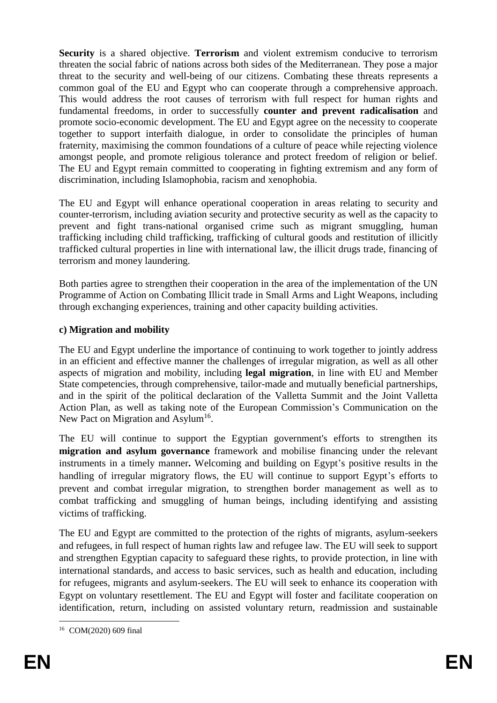**Security** is a shared objective. **Terrorism** and violent extremism conducive to terrorism threaten the social fabric of nations across both sides of the Mediterranean. They pose a major threat to the security and well-being of our citizens. Combating these threats represents a common goal of the EU and Egypt who can cooperate through a comprehensive approach. This would address the root causes of terrorism with full respect for human rights and fundamental freedoms, in order to successfully **counter and prevent radicalisation** and promote socio-economic development. The EU and Egypt agree on the necessity to cooperate together to support interfaith dialogue, in order to consolidate the principles of human fraternity, maximising the common foundations of a culture of peace while rejecting violence amongst people, and promote religious tolerance and protect freedom of religion or belief. The EU and Egypt remain committed to cooperating in fighting extremism and any form of discrimination, including Islamophobia, racism and xenophobia.

The EU and Egypt will enhance operational cooperation in areas relating to security and counter-terrorism, including aviation security and protective security as well as the capacity to prevent and fight trans-national organised crime such as migrant smuggling, human trafficking including child trafficking, trafficking of cultural goods and restitution of illicitly trafficked cultural properties in line with international law, the illicit drugs trade, financing of terrorism and money laundering.

Both parties agree to strengthen their cooperation in the area of the implementation of the UN Programme of Action on Combating Illicit trade in Small Arms and Light Weapons, including through exchanging experiences, training and other capacity building activities.

### **c) Migration and mobility**

The EU and Egypt underline the importance of continuing to work together to jointly address in an efficient and effective manner the challenges of irregular migration, as well as all other aspects of migration and mobility, including **legal migration**, in line with EU and Member State competencies, through comprehensive, tailor-made and mutually beneficial partnerships, and in the spirit of the political declaration of the Valletta Summit and the Joint Valletta Action Plan, as well as taking note of the European Commission's Communication on the New Pact on Migration and Asylum<sup>16</sup>.

The EU will continue to support the Egyptian government's efforts to strengthen its **migration and asylum governance** framework and mobilise financing under the relevant instruments in a timely manner**.** Welcoming and building on Egypt's positive results in the handling of irregular migratory flows, the EU will continue to support Egypt's efforts to prevent and combat irregular migration, to strengthen border management as well as to combat trafficking and smuggling of human beings, including identifying and assisting victims of trafficking.

The EU and Egypt are committed to the protection of the rights of migrants, asylum-seekers and refugees, in full respect of human rights law and refugee law. The EU will seek to support and strengthen Egyptian capacity to safeguard these rights, to provide protection, in line with international standards, and access to basic services, such as health and education, including for refugees, migrants and asylum-seekers. The EU will seek to enhance its cooperation with Egypt on voluntary resettlement. The EU and Egypt will foster and facilitate cooperation on identification, return, including on assisted voluntary return, readmission and sustainable

<sup>&</sup>lt;u>.</u> <sup>16</sup> COM(2020) 609 final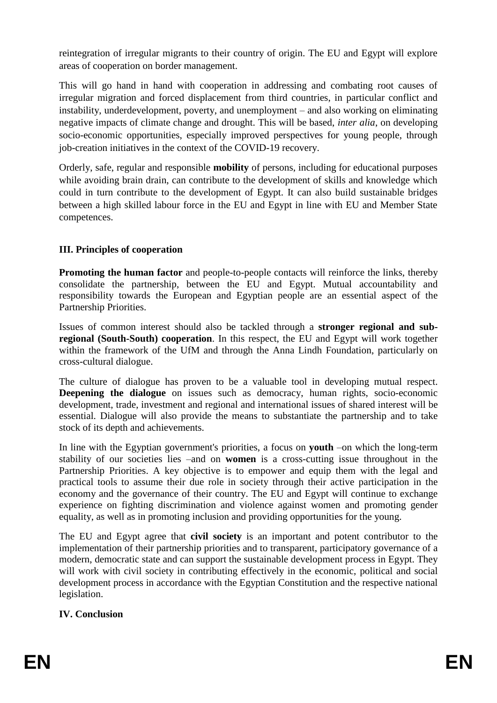reintegration of irregular migrants to their country of origin. The EU and Egypt will explore areas of cooperation on border management.

This will go hand in hand with cooperation in addressing and combating root causes of irregular migration and forced displacement from third countries, in particular conflict and instability, underdevelopment, poverty, and unemployment – and also working on eliminating negative impacts of climate change and drought. This will be based, *inter alia*, on developing socio-economic opportunities, especially improved perspectives for young people, through job-creation initiatives in the context of the COVID-19 recovery.

Orderly, safe, regular and responsible **mobility** of persons, including for educational purposes while avoiding brain drain, can contribute to the development of skills and knowledge which could in turn contribute to the development of Egypt. It can also build sustainable bridges between a high skilled labour force in the EU and Egypt in line with EU and Member State competences.

## **III. Principles of cooperation**

**Promoting the human factor** and people-to-people contacts will reinforce the links, thereby consolidate the partnership, between the EU and Egypt. Mutual accountability and responsibility towards the European and Egyptian people are an essential aspect of the Partnership Priorities.

Issues of common interest should also be tackled through a **stronger regional and subregional (South-South) cooperation**. In this respect, the EU and Egypt will work together within the framework of the UfM and through the Anna Lindh Foundation, particularly on cross-cultural dialogue.

The culture of dialogue has proven to be a valuable tool in developing mutual respect. **Deepening the dialogue** on issues such as democracy, human rights, socio-economic development, trade, investment and regional and international issues of shared interest will be essential. Dialogue will also provide the means to substantiate the partnership and to take stock of its depth and achievements.

In line with the Egyptian government's priorities, a focus on **youth** –on which the long-term stability of our societies lies –and on **women** is a cross-cutting issue throughout in the Partnership Priorities. A key objective is to empower and equip them with the legal and practical tools to assume their due role in society through their active participation in the economy and the governance of their country. The EU and Egypt will continue to exchange experience on fighting discrimination and violence against women and promoting gender equality, as well as in promoting inclusion and providing opportunities for the young.

The EU and Egypt agree that **civil society** is an important and potent contributor to the implementation of their partnership priorities and to transparent, participatory governance of a modern, democratic state and can support the sustainable development process in Egypt. They will work with civil society in contributing effectively in the economic, political and social development process in accordance with the Egyptian Constitution and the respective national legislation.

### **IV. Conclusion**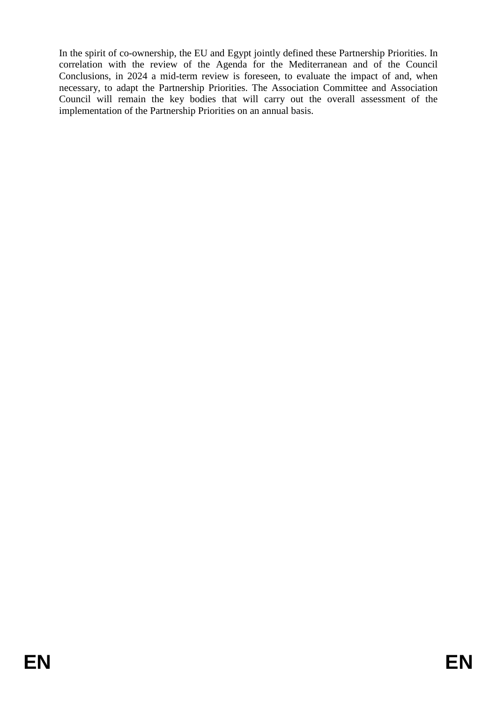In the spirit of co-ownership, the EU and Egypt jointly defined these Partnership Priorities. In correlation with the review of the Agenda for the Mediterranean and of the Council Conclusions, in 2024 a mid-term review is foreseen, to evaluate the impact of and, when necessary, to adapt the Partnership Priorities. The Association Committee and Association Council will remain the key bodies that will carry out the overall assessment of the implementation of the Partnership Priorities on an annual basis.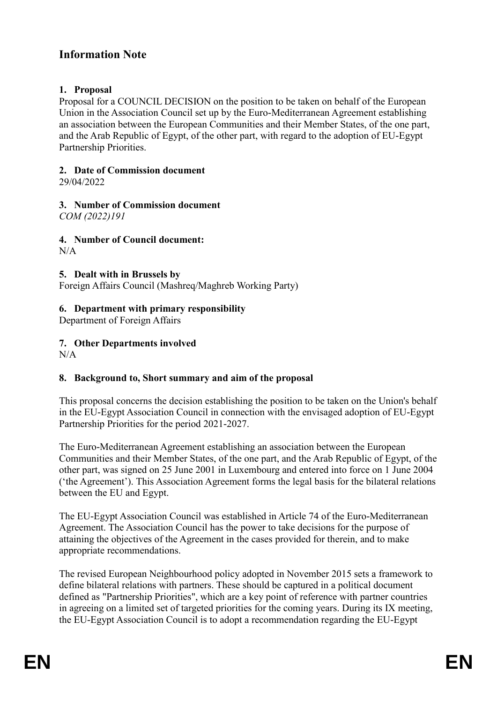# **Information Note**

#### **1. Proposal**

Proposal for a COUNCIL DECISION on the position to be taken on behalf of the European Union in the Association Council set up by the Euro-Mediterranean Agreement establishing an association between the European Communities and their Member States, of the one part, and the Arab Republic of Egypt, of the other part, with regard to the adoption of EU-Egypt Partnership Priorities.

#### **2. Date of Commission document**

29/04/2022

# **3. Number of Commission document**

*COM (2022)191*

#### **4. Number of Council document:**

 $N/A$ 

### **5. Dealt with in Brussels by**

Foreign Affairs Council (Mashreq/Maghreb Working Party)

#### **6. Department with primary responsibility**

Department of Foreign Affairs

#### **7. Other Departments involved**  $N/A$

# **8. Background to, Short summary and aim of the proposal**

This proposal concerns the decision establishing the position to be taken on the Union's behalf in the EU-Egypt Association Council in connection with the envisaged adoption of EU-Egypt Partnership Priorities for the period 2021-2027.

The Euro-Mediterranean Agreement establishing an association between the European Communities and their Member States, of the one part, and the Arab Republic of Egypt, of the other part, was signed on 25 June 2001 in Luxembourg and entered into force on 1 June 2004 ('the Agreement'). This Association Agreement forms the legal basis for the bilateral relations between the EU and Egypt.

The EU-Egypt Association Council was established in Article 74 of the Euro-Mediterranean Agreement. The Association Council has the power to take decisions for the purpose of attaining the objectives of the Agreement in the cases provided for therein, and to make appropriate recommendations.

The revised European Neighbourhood policy adopted in November 2015 sets a framework to define bilateral relations with partners. These should be captured in a political document defined as "Partnership Priorities", which are a key point of reference with partner countries in agreeing on a limited set of targeted priorities for the coming years. During its IX meeting, the EU-Egypt Association Council is to adopt a recommendation regarding the EU-Egypt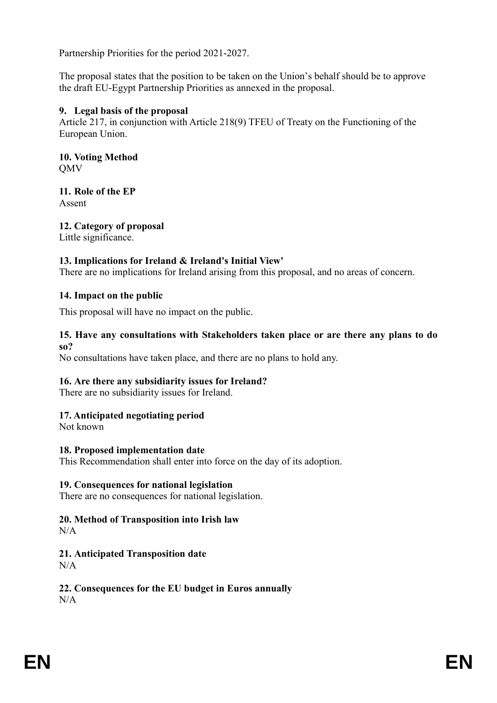Partnership Priorities for the period 2021-2027.

The proposal states that the position to be taken on the Union's behalf should be to approve the draft EU-Egypt Partnership Priorities as annexed in the proposal.

#### **9. Legal basis of the proposal**

Article 217, in conjunction with Article 218(9) TFEU of Treaty on the Functioning of the European Union.

**10. Voting Method** QMV

**11. Role of the EP** Assent

**12. Category of proposal** Little significance.

### **13. Implications for Ireland & Ireland's Initial View'**

There are no implications for Ireland arising from this proposal, and no areas of concern.

### **14. Impact on the public**

This proposal will have no impact on the public.

#### **15. Have any consultations with Stakeholders taken place or are there any plans to do so?**

No consultations have taken place, and there are no plans to hold any.

### **16. Are there any subsidiarity issues for Ireland?**

There are no subsidiarity issues for Ireland.

### **17. Anticipated negotiating period**

Not known

#### **18. Proposed implementation date**

This Recommendation shall enter into force on the day of its adoption.

#### **19. Consequences for national legislation**

There are no consequences for national legislation.

# **20. Method of Transposition into Irish law**

 $N/A$ 

# **21. Anticipated Transposition date**

 $N/A$ 

**22. Consequences for the EU budget in Euros annually**  $N/A$